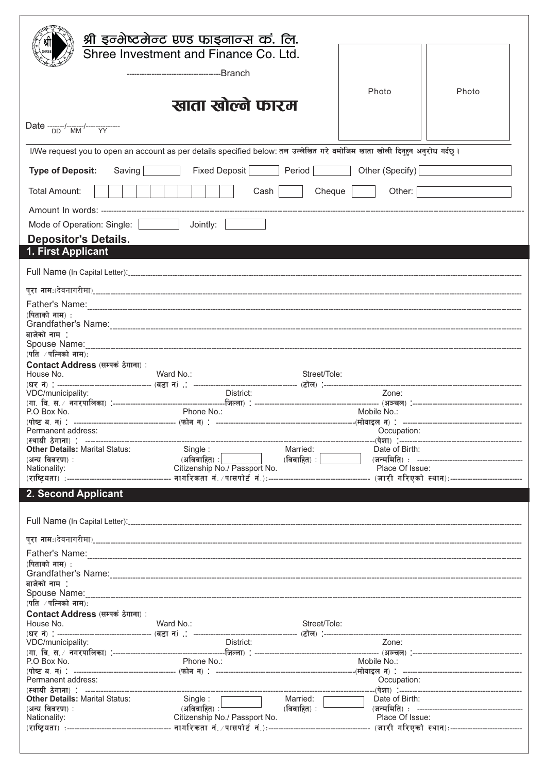|                                                         | श्री इन्भेष्टमेन्ट एण्ड फाइनान्स कं. लि.                                                                                  |                     |                 |       |
|---------------------------------------------------------|---------------------------------------------------------------------------------------------------------------------------|---------------------|-----------------|-------|
|                                                         | Shree Investment and Finance Co. Ltd.                                                                                     |                     |                 |       |
|                                                         |                                                                                                                           |                     |                 |       |
|                                                         |                                                                                                                           |                     |                 |       |
|                                                         |                                                                                                                           |                     | Photo           | Photo |
|                                                         | खाता खोल्ने फारम                                                                                                          |                     |                 |       |
|                                                         |                                                                                                                           |                     |                 |       |
| Date -------/-------/---------------                    |                                                                                                                           |                     |                 |       |
|                                                         | I/We request you to open an account as per details specified below: तल उल्लेखित गरे बमोजिम खाता खोली दिनुहन अनुरोध गर्दछ। |                     |                 |       |
| <b>Type of Deposit:</b>                                 | Fixed Deposit Period<br>Saving                                                                                            |                     | Other (Specify) |       |
| <b>Total Amount:</b><br>Cheque<br>Other:<br>$Cash \mid$ |                                                                                                                           |                     |                 |       |
|                                                         |                                                                                                                           |                     |                 |       |
| Mode of Operation: Single:                              | Joinly:                                                                                                                   |                     |                 |       |
| <b>Depositor's Details.</b>                             |                                                                                                                           |                     |                 |       |
| 1. First Applicant                                      |                                                                                                                           |                     |                 |       |
|                                                         |                                                                                                                           |                     |                 |       |
|                                                         |                                                                                                                           |                     |                 |       |
| (पिताको नाम) :                                          |                                                                                                                           |                     |                 |       |
|                                                         |                                                                                                                           |                     |                 |       |
| बाजेको नाम :                                            |                                                                                                                           |                     |                 |       |
| (पति $/$ पत्निको नाम):                                  |                                                                                                                           |                     |                 |       |
| Contact Address (सम्पर्क ठेगाना):                       | Ward No.:                                                                                                                 |                     |                 |       |
| House No.                                               |                                                                                                                           | Street/Tole:        |                 |       |
| VDC/municipality:                                       | District:                                                                                                                 |                     | Zone:           |       |
| P.O Box No.                                             | Phone No.:                                                                                                                |                     | Mobile No.:     |       |
|                                                         |                                                                                                                           |                     |                 |       |
| Permanent address:                                      |                                                                                                                           |                     | Occupation:     |       |
| <b>Other Details: Marital Status:</b>                   | Single:                                                                                                                   | Married: __________ | Date of Birth:  |       |
|                                                         |                                                                                                                           |                     |                 |       |
|                                                         |                                                                                                                           |                     |                 |       |
| 2. Second Applicant                                     |                                                                                                                           |                     |                 |       |
|                                                         |                                                                                                                           |                     |                 |       |
|                                                         |                                                                                                                           |                     |                 |       |
|                                                         |                                                                                                                           |                     |                 |       |
|                                                         |                                                                                                                           |                     |                 |       |
| (पिताको नाम) :                                          |                                                                                                                           |                     |                 |       |
| बाजेको नाम :                                            |                                                                                                                           |                     |                 |       |
|                                                         |                                                                                                                           |                     |                 |       |
| Contact Address (सम्पर्क ठेगाना) :                      |                                                                                                                           |                     |                 |       |
| House No.                                               | Ward No.:                                                                                                                 | Street/Tole:        |                 |       |
| VDC/municipality:                                       | District:                                                                                                                 |                     | Zone:           |       |
|                                                         |                                                                                                                           |                     |                 |       |
| P.O Box No.                                             | Phone No.:                                                                                                                |                     | Mobile No.:     |       |
| Permanent address:                                      |                                                                                                                           |                     | Occupation:     |       |
| <b>Other Details: Marital Status:</b>                   |                                                                                                                           |                     |                 |       |
| (अन्य विवरण):                                           |                                                                                                                           |                     |                 |       |
|                                                         |                                                                                                                           |                     |                 |       |
|                                                         |                                                                                                                           |                     |                 |       |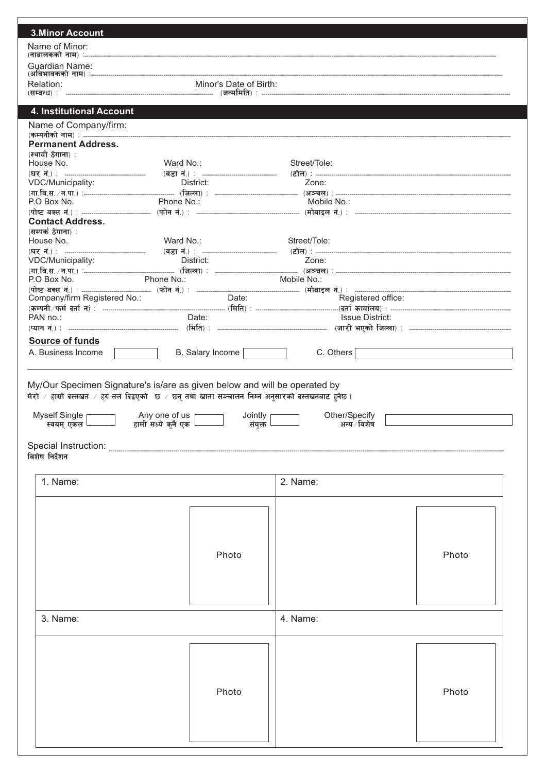| Name of Minor:                                 |                                                                  |                                                                                                                 |       |
|------------------------------------------------|------------------------------------------------------------------|-----------------------------------------------------------------------------------------------------------------|-------|
| <b>Guardian Name:</b>                          |                                                                  |                                                                                                                 |       |
| Relation:                                      | Minor's Date of Birth:                                           |                                                                                                                 |       |
|                                                |                                                                  |                                                                                                                 |       |
| 4. Institutional Account                       |                                                                  |                                                                                                                 |       |
| Name of Company/firm:                          |                                                                  |                                                                                                                 |       |
| <b>Permanent Address.</b><br>(स्थायी ठेगाना) : |                                                                  |                                                                                                                 |       |
| House No.                                      | Ward No.:                                                        | Street/Tole:                                                                                                    |       |
| VDC/Municipality:                              | District:                                                        | Zone:                                                                                                           |       |
|                                                |                                                                  |                                                                                                                 |       |
| P.O Box No.                                    | Phone No.:                                                       | Mobile No.:                                                                                                     |       |
| <b>Contact Address.</b>                        |                                                                  |                                                                                                                 |       |
| (सम्पर्क ठेगाना) :<br>House No.                | Ward No.:                                                        | Street/Tole:                                                                                                    |       |
|                                                |                                                                  |                                                                                                                 |       |
| VDC/Municipality:                              | District:                                                        | Zone:                                                                                                           |       |
| P.O Box No.                                    | Phone No.:                                                       | Mobile No.:                                                                                                     |       |
| Company/firm Registered No.:                   | Date:                                                            | Registered office:                                                                                              |       |
| PAN no.:                                       | Date:                                                            | Issue District:                                                                                                 |       |
|                                                |                                                                  |                                                                                                                 |       |
| <b>Source of funds</b>                         |                                                                  |                                                                                                                 |       |
| A. Business Income                             | B. Salary Income                                                 | C. Others                                                                                                       |       |
| Myself Single                                  | Any one of us<br>Jointly                                         | मेरो / हाम्रो दस्तखत / हरु तल दिइएको छ / छ्न् तथा खाता सञ्चालन निम्न अनुसारको दस्तखतबाट हुनेछ।<br>Other/Specify |       |
| स्वयम् एकल └                                   | हामी मध्ये कुनै एक $\mathsf{\mathsf{L}}$<br>संयुक्त <sup>।</sup> | अन्य ∕ विशेष                                                                                                    |       |
|                                                |                                                                  |                                                                                                                 |       |
| 1. Name:                                       |                                                                  | 2. Name:                                                                                                        |       |
|                                                |                                                                  |                                                                                                                 |       |
|                                                |                                                                  |                                                                                                                 |       |
|                                                |                                                                  |                                                                                                                 |       |
|                                                | Photo                                                            |                                                                                                                 | Photo |
|                                                |                                                                  |                                                                                                                 |       |
|                                                |                                                                  |                                                                                                                 |       |
|                                                |                                                                  |                                                                                                                 |       |
| 3. Name:                                       |                                                                  | 4. Name:                                                                                                        |       |
|                                                |                                                                  |                                                                                                                 |       |
|                                                |                                                                  |                                                                                                                 |       |
|                                                |                                                                  |                                                                                                                 |       |
|                                                |                                                                  |                                                                                                                 |       |
| विशेष निर्देशन                                 | Photo                                                            |                                                                                                                 | Photo |
|                                                |                                                                  |                                                                                                                 |       |
|                                                |                                                                  |                                                                                                                 |       |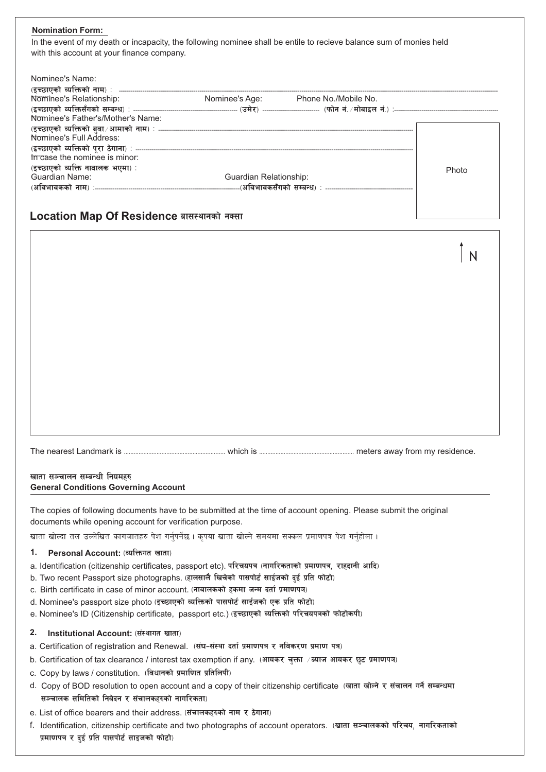# **Nomination Form:**

In the event of my death or incapacity, the following nominee shall be entile to recieve balance sum of monies held with this account at your finance company.

| Nominee's Name:                   |                        |                                     |       |
|-----------------------------------|------------------------|-------------------------------------|-------|
| Nominee's Relationship:           |                        | Nominee's Age: Phone No./Mobile No. |       |
|                                   |                        |                                     |       |
| Nominee's Father's/Mother's Name: |                        |                                     |       |
| Nominee's Full Address:           |                        |                                     |       |
| threase the nominee is minor:     |                        |                                     |       |
| (इच्छाएको व्यक्ति नाबालक भएमा) :  |                        |                                     | Photo |
| <b>Guardian Name:</b>             | Guardian Relationship: |                                     |       |
|                                   |                        |                                     |       |
|                                   |                        |                                     |       |

# Location Map Of Residence बासस्थानको नक्सा

| $\mathsf{N}$ |
|--------------|
|              |
|              |
|              |
|              |
|              |

# खाता सञ्चालन सम्बन्धी नियमहरु **General Conditions Governing Account**

The copies of following documents have to be submitted at the time of account opening. Please submit the original documents while opening account for verification purpose.

खाता खोल्दा तल उल्लेखित कागजातहरु पेश गर्नुपर्नेछ । कृपया खाता खोल्ने समयमा सक्कल प्रमाणपत्र पेश गर्नुहोला ।

# 1. Personal Account: (व्यक्तिगत खाता)

- a. Identification (citizenship certificates, passport etc). परिचयपत्र (नागरिकताको प्रमाणपत्र, राहदानी आदि)
- b. Two recent Passport size photographs. (हालसालै खिचेको पासपोर्ट साईजको दई प्रति फोटो)
- c. Birth certificate in case of minor account. (नावालकको हकमा जन्म दर्ता प्रमाणपत्र)
- d. Nominee's passport size photo (इच्छाएको व्यक्तिको पासपोर्ट साईजको एक प्रति फोटो)
- e. Nominee's ID (Citizenship certificate, passport etc.) (इच्छाएको व्यक्तिको परिचयपत्रको फोटोकपी)

### 2. Institutional Account: (संस्थागत खाता)

- a. Certification of registration and Renewal. (संघ-संस्था दर्ता प्रमाणपत्र र नविकरण प्रमाण पत्र)
- b. Certification of tax clearance / interest tax exemption if any. (आयकर चुक्ता /ब्याज आयकर छूट प्रमाणपत्र)
- c. Copy by laws / constitution. (विधानको प्रमाणित प्रतिलिपी)
- d. Copy of BOD resolution to open account and a copy of their citizenship certificate (खाता खोल्ने र संचालन गर्ने सम्बन्धमा सञ्चालक समितिको निवेदन र संचालकहरुको नागरिकता)
- e. List of office bearers and their address. (संचालकहरुको नाम र ठेगाना)
- f. Identification, citizenship certificate and two photographs of account operators. (खाता सञ्चालकको परिचय, नागरिकताको प्रमाणपत्र र दुई प्रति पासपोर्ट साइजको फोटो)